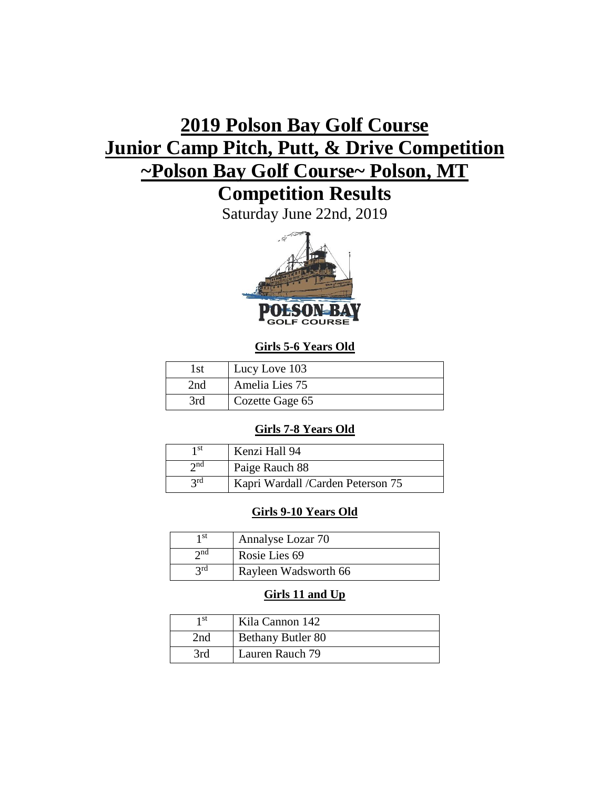# **2019 Polson Bay Golf Course Junior Camp Pitch, Putt, & Drive Competition ~Polson Bay Golf Course~ Polson, MT**

## **Competition Results**

Saturday June 22nd, 2019



## **Girls 5-6 Years Old**

| l st | Lucy Love 103   |
|------|-----------------|
| 2nd  | Amelia Lies 75  |
| 3rd  | Cozette Gage 65 |

## **Girls 7-8 Years Old**

| 1 st        | Kenzi Hall 94                     |
|-------------|-----------------------------------|
| $\gamma$ nd | Paige Rauch 88                    |
| <b>3rd</b>  | Kapri Wardall /Carden Peterson 75 |

## **Girls 9-10 Years Old**

| 1 st        | Annalyse Lozar 70    |
|-------------|----------------------|
| $\gamma$ nd | Rosie Lies 69        |
| 2rd         | Rayleen Wadsworth 66 |

## **Girls 11 and Up**

| 1 st | Kila Cannon 142          |
|------|--------------------------|
| 2nd  | <b>Bethany Butler 80</b> |
| 3rd  | Lauren Rauch 79          |